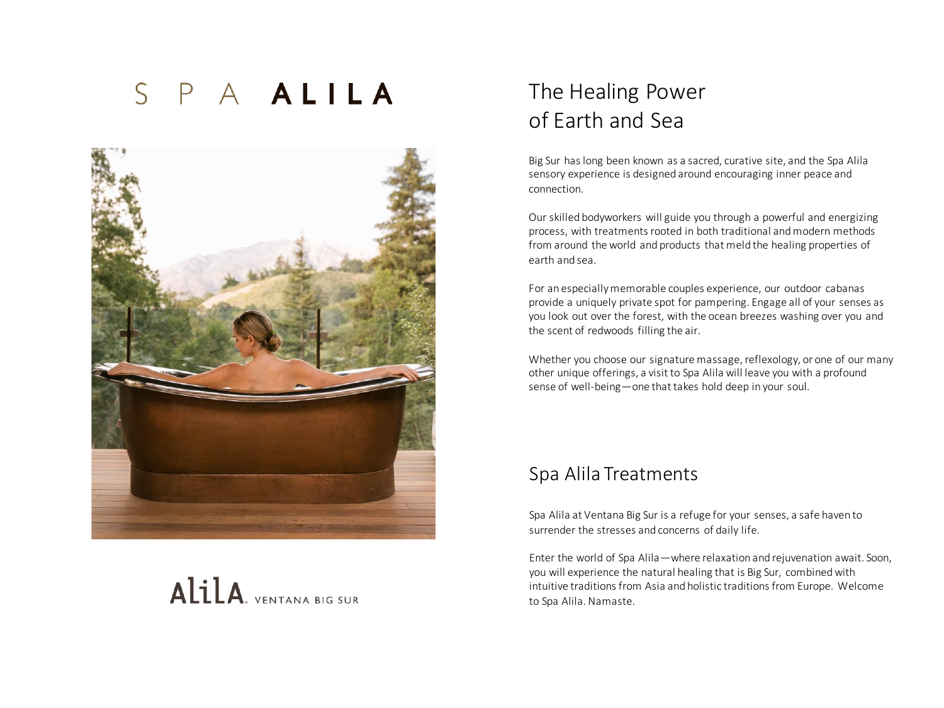# S P A ALILA





# The Healing Power of Earth and Sea

Big Sur has long been known as a sacred, curative site, and the Spa Alila sensory experience is designed around encouraging inner peace and connection.

Our skilled bodyworkers will guide you through a powerful and energizing process, with treatments rooted in both traditional and modern methods from around the world and products that meld the healing properties of earth and sea.

For an especially memorable couples experience, our outdoor cabanas provide a uniquely private spot for pampering. Engage all of your senses as you look out over the forest, with the ocean breezes washing over you and the scent of redwoods filling the air.

Whether you choose our signature massage, reflexology, or one of our many other unique offerings, a visit to Spa Alila will leave you with a profound sense of well-being—one that takes hold deep in your soul.

## Spa Alila Treatments

Spa Alila at Ventana Big Sur is a refuge for your senses, a safe haven to surrender the stresses and concerns of daily life.

Enter the world of Spa Alila—where relaxation and rejuvenation await. Soon, you will experience the natural healing that is Big Sur, combined with intuitive traditions from Asia and holistic traditions from Europe. Welcome to Spa Alila. Namaste.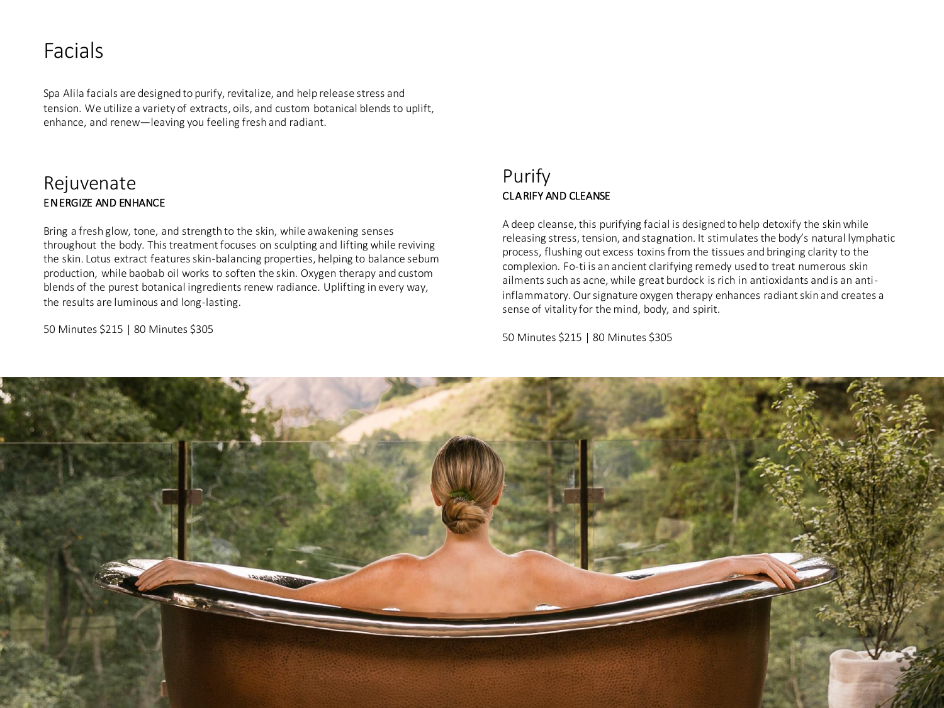# Facials

Spa Alila facials are designed to purify, revitalize, and help release stress and tension. We utilize a variety of extracts, oils, and custom botanical blends to uplift, enhance, and renew—leaving you feeling fresh and radiant.

### Rejuvenate ENERGIZE AND ENHANCE

Bring a fresh glow, tone, and strength to the skin, while awakening senses throughout the body. This treatment focuses on sculpting and lifting while reviving the skin. Lotus extract features skin-balancing properties, helping to balance sebum production, while baobab oil works to soften the skin. Oxygen therapy and custom blends of the purest botanical ingredients renew radiance. Uplifting in every way, the results are luminous and long-lasting.

50 Minutes \$215 | 80 Minutes \$305

## Purify CLARIFY AND CLEANSE

A deep cleanse, this purifying facial is designed to help detoxify the skin while releasing stress, tension, and stagnation. It stimulates the body's natural lymphatic process, flushing out excess toxins from the tissues and bringing clarity to the complexion. Fo-ti is an ancient clarifying remedy used to treat numerous skin ailments such as acne, while great burdock is rich in antioxidants and is an antiinflammatory. Our signature oxygen therapy enhances radiant skin and creates a sense of vitality for the mind, body, and spirit.

50 Minutes \$215 | 80 Minutes \$305

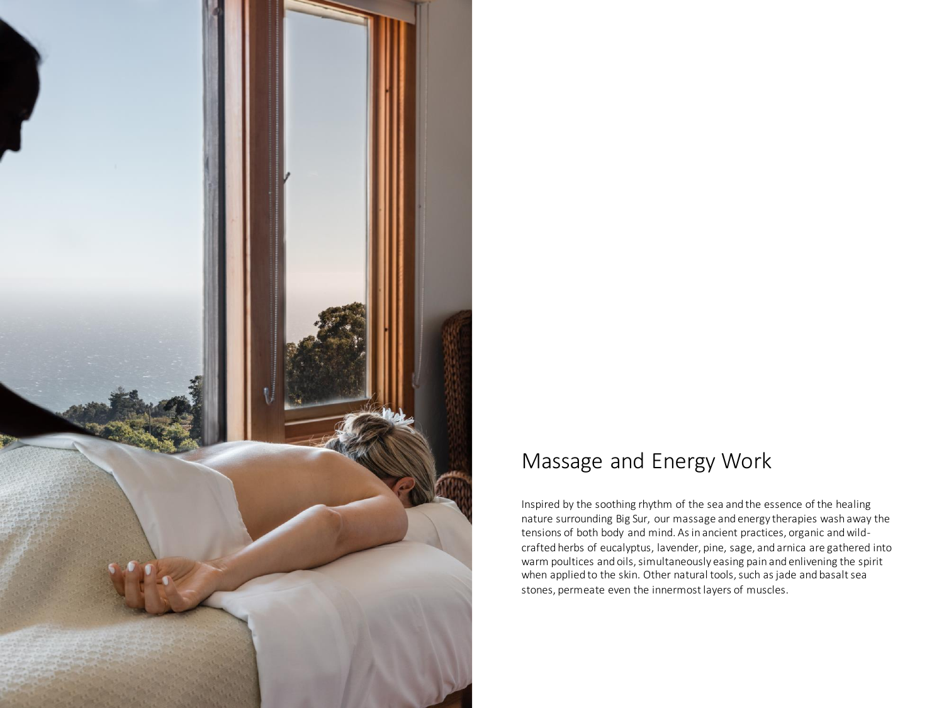

# Massage and Energy Work

Inspired by the soothing rhythm of the sea and the essence of the healing nature surrounding Big Sur, our massage and energy therapies wash away the tensions of both body and mind. As in ancient practices, organic and wildcrafted herbs of eucalyptus, lavender, pine, sage, and arnica are gathered into warm poultices and oils, simultaneously easing pain and enlivening the spirit when applied to the skin. Other natural tools, such as jade and basalt sea stones, permeate even the innermost layers of muscles.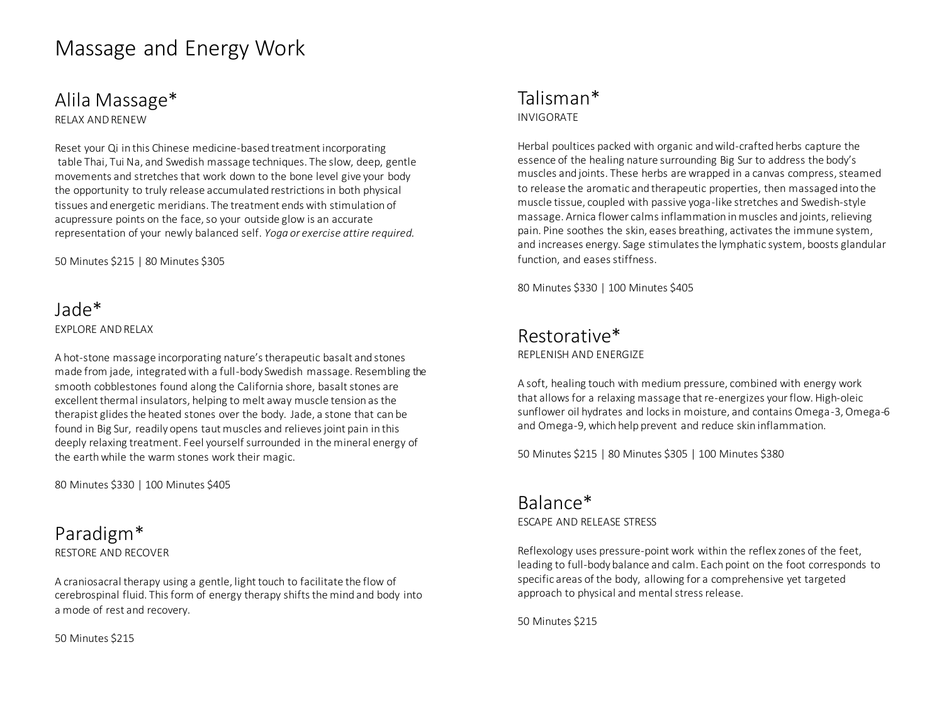# Massage and Energy Work

# Alila Massage\*

RELAX AND RENEW

Reset your Qi in this Chinese medicine-based treatment incorporating table Thai, Tui Na, and Swedish massage techniques. The slow, deep, gentle movements and stretches that work down to the bone level give your body the opportunity to truly release accumulated restrictions in both physical tissues and energetic meridians. The treatment ends with stimulation of acupressure points on the face, so your outside glow is an accurate representation of your newly balanced self. *Yoga or exercise attire required.*

50 Minutes \$215 | 80 Minutes \$305

### Jade\* EXPLORE AND RELAX

A hot-stone massage incorporating nature's therapeutic basalt and stones made from jade, integrated with a full-body Swedish massage. Resembling the smooth cobblestones found along the California shore, basalt stones are excellent thermal insulators, helping to melt away muscle tension as the therapist glides the heated stones over the body. Jade, a stone that can be found in Big Sur, readily opens taut muscles and relieves joint pain in this deeply relaxing treatment. Feel yourself surrounded in the mineral energy of the earth while the warm stones work their magic.

80 Minutes \$330 | 100 Minutes \$405

### Paradigm\* RESTORE AND RECOVER

A craniosacral therapy using a gentle, light touch to facilitate the flow of cerebrospinal fluid. This form of energy therapy shifts the mind and body into a mode of rest and recovery.

50 Minutes \$215

### Talisman\* INVIGORATE

Herbal poultices packed with organic and wild-crafted herbs capture the essence of the healing nature surrounding Big Sur to address the body's muscles and joints. These herbs are wrapped in a canvas compress, steamed to release the aromatic and therapeutic properties, then massaged into the muscle tissue, coupled with passive yoga-like stretches and Swedish-style massage. Arnica flower calms inflammation in muscles and joints, relieving pain. Pine soothes the skin, eases breathing, activates the immune system, and increases energy. Sage stimulates the lymphatic system, boosts glandular function, and eases stiffness.

80 Minutes \$330 | 100 Minutes \$405

# Restorative\*

REPLENISH AND ENERGIZE

A soft, healing touch with medium pressure, combined with energy work that allows for a relaxing massage that re-energizes your flow. High-oleic sunflower oil hydrates and locks in moisture, and contains Omega-3, Omega-6 and Omega-9, which help prevent and reduce skin inflammation.

50 Minutes \$215 | 80 Minutes \$305 | 100 Minutes \$380

#### Balance\* ESCAPE AND RELEASE STRESS

Reflexology uses pressure-point work within the reflex zones of the feet, leading to full-body balance and calm. Each point on the foot corresponds to specific areas of the body, allowing for a comprehensive yet targeted approach to physical and mental stress release.

50 Minutes \$215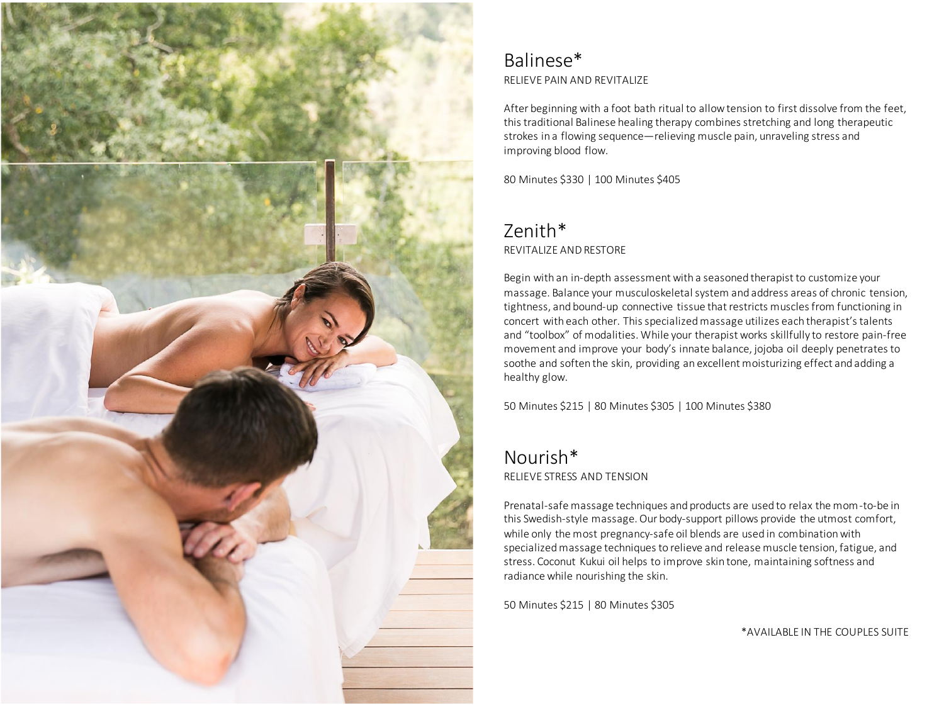

### Balinese\* RELIEVE PAIN AND REVITALIZE

After beginning with a foot bath ritual to allow tension to first dissolve from the feet, this traditional Balinese healing therapy combines stretching and long therapeutic strokes in a flowing sequence—relieving muscle pain, unraveling stress and improving blood flow.

80 Minutes \$330 | 100 Minutes \$405

# Zenith\*

REVITALIZE AND RESTORE

Begin with an in-depth assessment with a seasoned therapist to customize your massage. Balance your musculoskeletal system and address areas of chronic tension, tightness, and bound-up connective tissue that restricts muscles from functioning in concert with each other. This specialized massage utilizes each therapist's talents and "toolbox" of modalities. While your therapist works skillfully to restore pain-free movement and improve your body's innate balance, jojoba oil deeply penetrates to soothe and soften the skin, providing an excellent moisturizing effect and adding a healthy glow.

50 Minutes \$215 | 80 Minutes \$305 | 100 Minutes \$380

## Nourish\* RELIEVE STRESS AND TENSION

Prenatal-safe massage techniques and products are used to relax the mom-to-be in this Swedish-style massage. Our body-support pillows provide the utmost comfort, while only the most pregnancy-safe oil blends are used in combination with specialized massage techniques to relieve and release muscle tension, fatigue, and stress. Coconut Kukui oil helps to improve skin tone, maintaining softness and radiance while nourishing the skin.

50 Minutes \$215 | 80 Minutes \$305

\*AVAILABLE IN THE COUPLES SUITE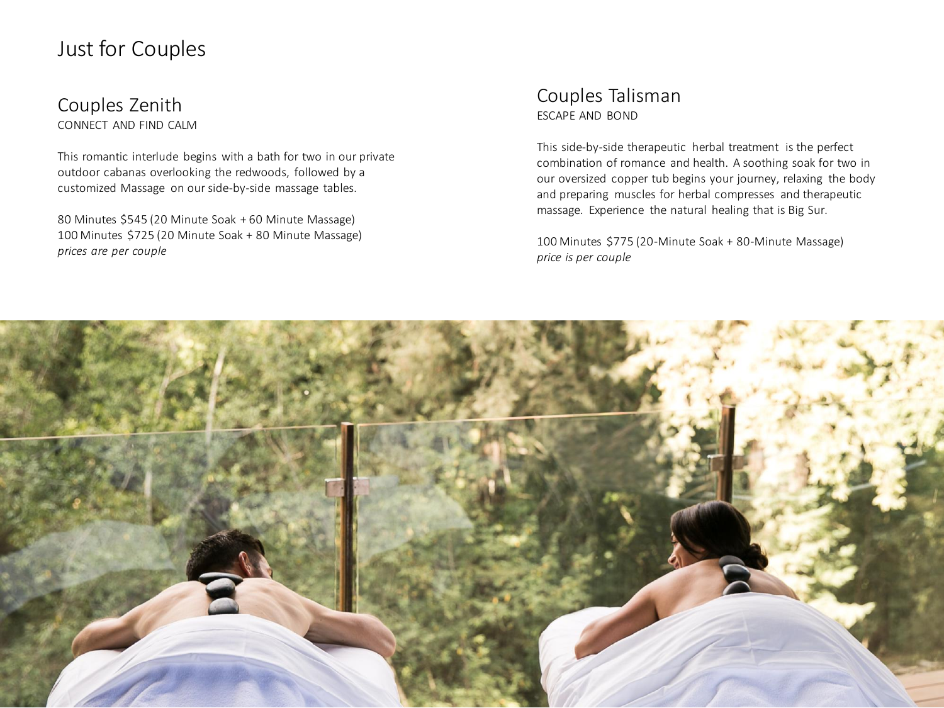# Just for Couples

Couples Zenith CONNECT AND FIND CALM

This romantic interlude begins with a bath for two in our private outdoor cabanas overlooking the redwoods, followed by a customized Massage on our side-by-side massage tables.

80 Minutes \$545 (20 Minute Soak + 60 Minute Massage) 100 Minutes \$725 (20 Minute Soak + 80 Minute Massage) *prices are per couple*

### Couples Talisman ESCAPE AND BOND

This side-by-side therapeutic herbal treatment is the perfect combination of romance and health. A soothing soak for two in our oversized copper tub begins your journey, relaxing the body and preparing muscles for herbal compresses and therapeutic massage. Experience the natural healing that is Big Sur.

100 Minutes \$775 (20-Minute Soak + 80-Minute Massage) *price is per couple*

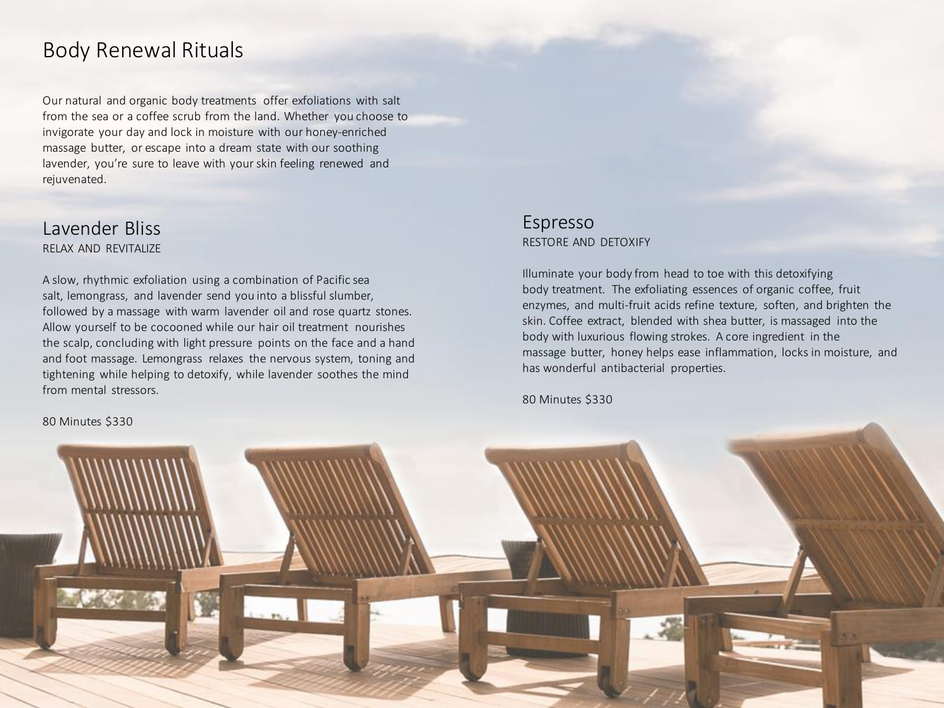# Body Renewal Rituals

Our natural and organic body treatments offer exfoliations with salt from the sea or a coffee scrub from the land. Whether you choose to invigorate your day and lock in moisture with our honey-enriched massage butter, or escape into a dream state with our soothing lavender, you're sure to leave with your skin feeling renewed and rejuvenated.

#### Lavender Bliss RELAX AND REVITALIZE

A slow, rhythmic exfoliation using a combination of Pacific sea salt, lemongrass, and lavender send you into a blissful slumber, followed by a massage with warm lavender oil and rose quartz stones. Allow yourself to be cocooned while our hair oil treatment nourishes the scalp, concluding with light pressure points on the face and a hand and foot massage. Lemongrass relaxes the nervous system, toning and tightening while helping to detoxify, while lavender soothes the mind from mental stressors.

### Espresso RESTORE AND DETOXIFY

Illuminate your body from head to toe with this detoxifying body treatment. The exfoliating essences of organic coffee, fruit enzymes, and multi-fruit acids refine texture, soften, and brighten the skin. Coffee extract, blended with shea butter, is massaged into the body with luxurious flowing strokes. A core ingredient in the massage butter, honey helps ease inflammation, locks in moisture, and has wonderful antibacterial properties.

80 Minutes \$330

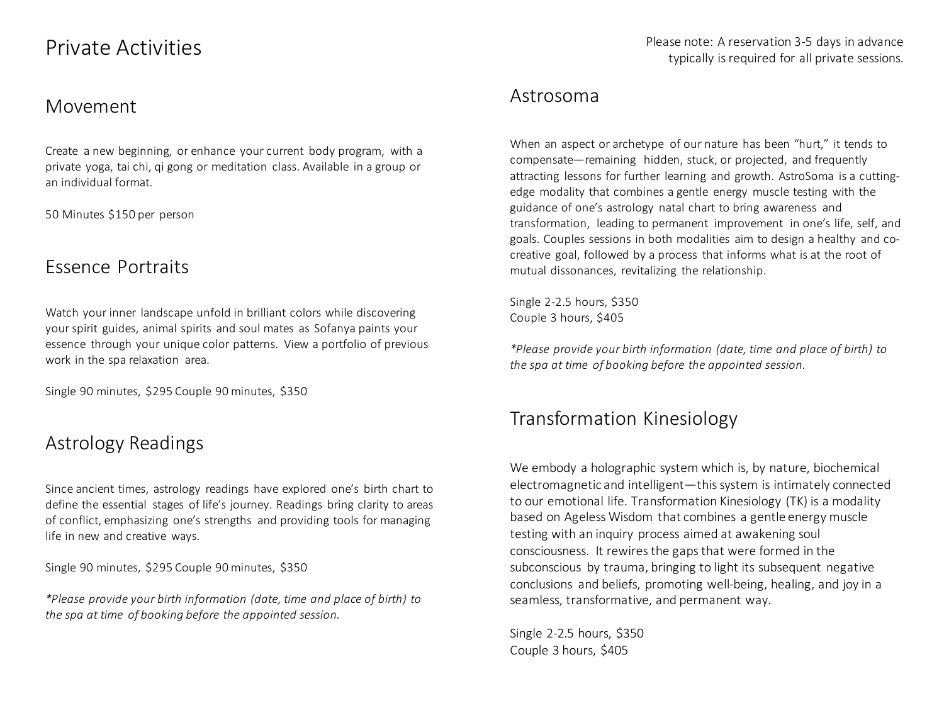# Private Activities

Create a new beginning, or enhance your current body program, with a private yoga, tai chi, qi gong or meditation class. Available in a group or an individual format.

50 Minutes \$150 per person

## Essence Portraits

Watch your inner landscape unfold in brilliant colors while discovering your spirit guides, animal spirits and soul mates as Sofanya paints your essence through your unique color patterns. View a portfolio of previous work in the spa relaxation area.

Single 90 minutes, \$295 Couple 90 minutes, \$350

## Astrology Readings

Since ancient times, astrology readings have explored one's birth chart to define the essential stages of life's journey. Readings bring clarity to areas of conflict, emphasizing one's strengths and providing tools for managing life in new and creative ways.

Single 90 minutes, \$295 Couple 90 minutes, \$350

*\*Please provide your birth information (date, time and place of birth) to the spa at time of booking before the appointed session.*

### Astrosoma

When an aspect or archetype of our nature has been "hurt," it tends to compensate—remaining hidden, stuck, or projected, and frequently attracting lessons for further learning and growth. AstroSoma is a cuttingedge modality that combines a gentle energy muscle testing with the guidance of one's astrology natal chart to bring awareness and transformation, leading to permanent improvement in one's life, self, and goals. Couples sessions in both modalities aim to design a healthy and cocreative goal, followed by a process that informs what is at the root of mutual dissonances, revitalizing the relationship.

Single 2-2.5 hours, \$350 Couple 3 hours, \$405

*\*Please provide your birth information (date, time and place of birth) to the spa at time of booking before the appointed session.*

## Transformation Kinesiology

We embody a holographic system which is, by nature, biochemical electromagnetic and intelligent—this system is intimately connected to our emotional life. Transformation Kinesiology (TK) is a modality based on Ageless Wisdom that combines a gentle energy muscle testing with an inquiry process aimed at awakening soul consciousness. It rewires the gaps that were formed in the subconscious by trauma, bringing to light its subsequent negative conclusions and beliefs, promoting well-being, healing, and joy in a seamless, transformative, and permanent way.

Single 2-2.5 hours, \$350 Couple 3 hours, \$405